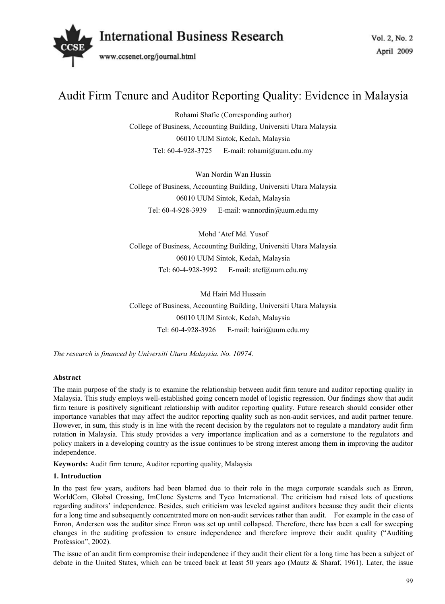# **International Business Research**  $\vee$   $\vee$  01. 2, No. 2



April 2009

# Audit Firm Tenure and Auditor Reporting Quality: Evidence in Malaysia

Rohami Shafie (Corresponding author) College of Business, Accounting Building, Universiti Utara Malaysia 06010 UUM Sintok, Kedah, Malaysia Tel: 60-4-928-3725 E-mail: rohami@uum.edu.my

Wan Nordin Wan Hussin College of Business, Accounting Building, Universiti Utara Malaysia 06010 UUM Sintok, Kedah, Malaysia Tel: 60-4-928-3939 E-mail: wannordin@uum.edu.my

Mohd 'Atef Md. Yusof College of Business, Accounting Building, Universiti Utara Malaysia 06010 UUM Sintok, Kedah, Malaysia Tel: 60-4-928-3992 E-mail: atef@uum.edu.my

Md Hairi Md Hussain College of Business, Accounting Building, Universiti Utara Malaysia 06010 UUM Sintok, Kedah, Malaysia Tel: 60-4-928-3926 E-mail: hairi@uum.edu.my

*The research is financed by Universiti Utara Malaysia. No. 10974.* 

# **Abstract**

The main purpose of the study is to examine the relationship between audit firm tenure and auditor reporting quality in Malaysia. This study employs well-established going concern model of logistic regression. Our findings show that audit firm tenure is positively significant relationship with auditor reporting quality. Future research should consider other importance variables that may affect the auditor reporting quality such as non-audit services, and audit partner tenure. However, in sum, this study is in line with the recent decision by the regulators not to regulate a mandatory audit firm rotation in Malaysia. This study provides a very importance implication and as a cornerstone to the regulators and policy makers in a developing country as the issue continues to be strong interest among them in improving the auditor independence.

**Keywords:** Audit firm tenure, Auditor reporting quality, Malaysia

#### **1. Introduction**

In the past few years, auditors had been blamed due to their role in the mega corporate scandals such as Enron, WorldCom, Global Crossing, ImClone Systems and Tyco International. The criticism had raised lots of questions regarding auditors' independence. Besides, such criticism was leveled against auditors because they audit their clients for a long time and subsequently concentrated more on non-audit services rather than audit. For example in the case of Enron, Andersen was the auditor since Enron was set up until collapsed. Therefore, there has been a call for sweeping changes in the auditing profession to ensure independence and therefore improve their audit quality ("Auditing Profession", 2002).

The issue of an audit firm compromise their independence if they audit their client for a long time has been a subject of debate in the United States, which can be traced back at least 50 years ago (Mautz & Sharaf, 1961). Later, the issue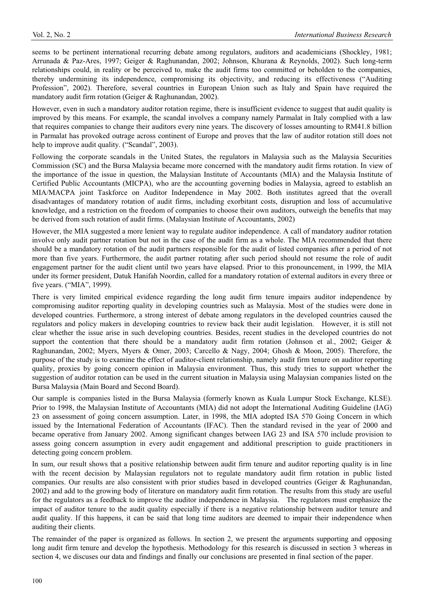seems to be pertinent international recurring debate among regulators, auditors and academicians (Shockley, 1981; Arrunada & Paz-Ares, 1997; Geiger & Raghunandan, 2002; Johnson, Khurana & Reynolds, 2002). Such long-term relationships could, in reality or be perceived to, make the audit firms too committed or beholden to the companies, thereby undermining its independence, compromising its objectivity, and reducing its effectiveness ("Auditing Profession", 2002). Therefore, several countries in European Union such as Italy and Spain have required the mandatory audit firm rotation (Geiger & Raghunandan, 2002).

However, even in such a mandatory auditor rotation regime, there is insufficient evidence to suggest that audit quality is improved by this means. For example, the scandal involves a company namely Parmalat in Italy complied with a law that requires companies to change their auditors every nine years. The discovery of losses amounting to RM41.8 billion in Parmalat has provoked outrage across continent of Europe and proves that the law of auditor rotation still does not help to improve audit quality. ("Scandal", 2003).

Following the corporate scandals in the United States, the regulators in Malaysia such as the Malaysia Securities Commission (SC) and the Bursa Malaysia became more concerned with the mandatory audit firms rotation. In view of the importance of the issue in question, the Malaysian Institute of Accountants (MIA) and the Malaysia Institute of Certified Public Accountants (MICPA), who are the accounting governing bodies in Malaysia, agreed to establish an MIA/MACPA joint Taskforce on Auditor Independence in May 2002. Both institutes agreed that the overall disadvantages of mandatory rotation of audit firms, including exorbitant costs, disruption and loss of accumulative knowledge, and a restriction on the freedom of companies to choose their own auditors, outweigh the benefits that may be derived from such rotation of audit firms. (Malaysian Institute of Accountants, 2002)

However, the MIA suggested a more lenient way to regulate auditor independence. A call of mandatory auditor rotation involve only audit partner rotation but not in the case of the audit firm as a whole. The MIA recommended that there should be a mandatory rotation of the audit partners responsible for the audit of listed companies after a period of not more than five years. Furthermore, the audit partner rotating after such period should not resume the role of audit engagement partner for the audit client until two years have elapsed. Prior to this pronouncement, in 1999, the MIA under its former president, Datuk Hanifah Noordin, called for a mandatory rotation of external auditors in every three or five years. ("MIA", 1999).

There is very limited empirical evidence regarding the long audit firm tenure impairs auditor independence by compromising auditor reporting quality in developing countries such as Malaysia. Most of the studies were done in developed countries. Furthermore, a strong interest of debate among regulators in the developed countries caused the regulators and policy makers in developing countries to review back their audit legislation. However, it is still not clear whether the issue arise in such developing countries. Besides, recent studies in the developed countries do not support the contention that there should be a mandatory audit firm rotation (Johnson et al., 2002; Geiger & Raghunandan, 2002; Myers, Myers & Omer, 2003; Carcello & Nagy, 2004; Ghosh & Moon, 2005). Therefore, the purpose of the study is to examine the effect of auditor-client relationship, namely audit firm tenure on auditor reporting quality, proxies by going concern opinion in Malaysia environment. Thus, this study tries to support whether the suggestion of auditor rotation can be used in the current situation in Malaysia using Malaysian companies listed on the Bursa Malaysia (Main Board and Second Board).

Our sample is companies listed in the Bursa Malaysia (formerly known as Kuala Lumpur Stock Exchange, KLSE). Prior to 1998, the Malaysian Institute of Accountants (MIA) did not adopt the International Auditing Guideline (IAG) 23 on assessment of going concern assumption. Later, in 1998, the MIA adopted ISA 570 Going Concern in which issued by the International Federation of Accountants (IFAC). Then the standard revised in the year of 2000 and became operative from January 2002. Among significant changes between IAG 23 and ISA 570 include provision to assess going concern assumption in every audit engagement and additional prescription to guide practitioners in detecting going concern problem.

In sum, our result shows that a positive relationship between audit firm tenure and auditor reporting quality is in line with the recent decision by Malaysian regulators not to regulate mandatory audit firm rotation in public listed companies. Our results are also consistent with prior studies based in developed countries (Geiger & Raghunandan, 2002) and add to the growing body of literature on mandatory audit firm rotation. The results from this study are useful for the regulators as a feedback to improve the auditor independence in Malaysia. The regulators must emphasize the impact of auditor tenure to the audit quality especially if there is a negative relationship between auditor tenure and audit quality. If this happens, it can be said that long time auditors are deemed to impair their independence when auditing their clients.

The remainder of the paper is organized as follows. In section 2, we present the arguments supporting and opposing long audit firm tenure and develop the hypothesis. Methodology for this research is discussed in section 3 whereas in section 4, we discuses our data and findings and finally our conclusions are presented in final section of the paper.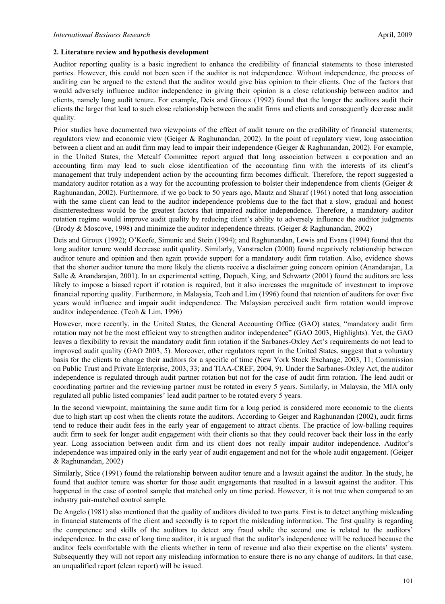#### **2. Literature review and hypothesis development**

Auditor reporting quality is a basic ingredient to enhance the credibility of financial statements to those interested parties. However, this could not been seen if the auditor is not independence. Without independence, the process of auditing can be argued to the extend that the auditor would give bias opinion to their clients. One of the factors that would adversely influence auditor independence in giving their opinion is a close relationship between auditor and clients, namely long audit tenure. For example, Deis and Giroux (1992) found that the longer the auditors audit their clients the larger that lead to such close relationship between the audit firms and clients and consequently decrease audit quality.

Prior studies have documented two viewpoints of the effect of audit tenure on the credibility of financial statements; regulators view and economic view (Geiger & Raghunandan, 2002). In the point of regulatory view, long association between a client and an audit firm may lead to impair their independence (Geiger & Raghunandan, 2002). For example, in the United States, the Metcalf Committee report argued that long association between a corporation and an accounting firm may lead to such close identification of the accounting firm with the interests of its client's management that truly independent action by the accounting firm becomes difficult. Therefore, the report suggested a mandatory auditor rotation as a way for the accounting profession to bolster their independence from clients (Geiger  $\&$ Raghunandan, 2002). Furthermore, if we go back to 50 years ago, Mautz and Sharaf (1961) noted that long association with the same client can lead to the auditor independence problems due to the fact that a slow, gradual and honest disinterestedness would be the greatest factors that impaired auditor independence. Therefore, a mandatory auditor rotation regime would improve audit quality by reducing client's ability to adversely influence the auditor judgments (Brody & Moscove, 1998) and minimize the auditor independence threats. (Geiger & Raghunandan, 2002)

Deis and Giroux (1992); O'Keefe, Simunic and Stein (1994); and Raghunandan, Lewis and Evans (1994) found that the long auditor tenure would decrease audit quality. Similarly, Vanstraelen (2000) found negatively relationship between auditor tenure and opinion and then again provide support for a mandatory audit firm rotation. Also, evidence shows that the shorter auditor tenure the more likely the clients receive a disclaimer going concern opinion (Anandarajan, La Salle & Anandarajan, 2001). In an experimental setting, Dopuch, King, and Schwartz (2001) found the auditors are less likely to impose a biased report if rotation is required, but it also increases the magnitude of investment to improve financial reporting quality. Furthermore, in Malaysia, Teoh and Lim (1996) found that retention of auditors for over five years would influence and impair audit independence. The Malaysian perceived audit firm rotation would improve auditor independence. (Teoh & Lim, 1996)

However, more recently, in the United States, the General Accounting Office (GAO) states, "mandatory audit firm rotation may not be the most efficient way to strengthen auditor independence" (GAO 2003, Highlights). Yet, the GAO leaves a flexibility to revisit the mandatory audit firm rotation if the Sarbanes-Oxley Act's requirements do not lead to improved audit quality (GAO 2003, 5). Moreover, other regulators report in the United States, suggest that a voluntary basis for the clients to change their auditors for a specific of time (New York Stock Exchange, 2003, 11; Commission on Public Trust and Private Enterprise, 2003, 33; and TIAA-CREF, 2004, 9). Under the Sarbanes-Oxley Act, the auditor independence is regulated through audit partner rotation but not for the case of audit firm rotation. The lead audit or coordinating partner and the reviewing partner must be rotated in every 5 years. Similarly, in Malaysia, the MIA only regulated all public listed companies' lead audit partner to be rotated every 5 years.

In the second viewpoint, maintaining the same audit firm for a long period is considered more economic to the clients due to high start up cost when the clients rotate the auditors. According to Geiger and Raghunandan (2002), audit firms tend to reduce their audit fees in the early year of engagement to attract clients. The practice of low-balling requires audit firm to seek for longer audit engagement with their clients so that they could recover back their loss in the early year. Long association between audit firm and its client does not really impair auditor independence. Auditor's independence was impaired only in the early year of audit engagement and not for the whole audit engagement. (Geiger & Raghunandan, 2002)

Similarly, Stice (1991) found the relationship between auditor tenure and a lawsuit against the auditor. In the study, he found that auditor tenure was shorter for those audit engagements that resulted in a lawsuit against the auditor. This happened in the case of control sample that matched only on time period. However, it is not true when compared to an industry pair-matched control sample.

De Angelo (1981) also mentioned that the quality of auditors divided to two parts. First is to detect anything misleading in financial statements of the client and secondly is to report the misleading information. The first quality is regarding the competence and skills of the auditors to detect any fraud while the second one is related to the auditors' independence. In the case of long time auditor, it is argued that the auditor's independence will be reduced because the auditor feels comfortable with the clients whether in term of revenue and also their expertise on the clients' system. Subsequently they will not report any misleading information to ensure there is no any change of auditors. In that case, an unqualified report (clean report) will be issued.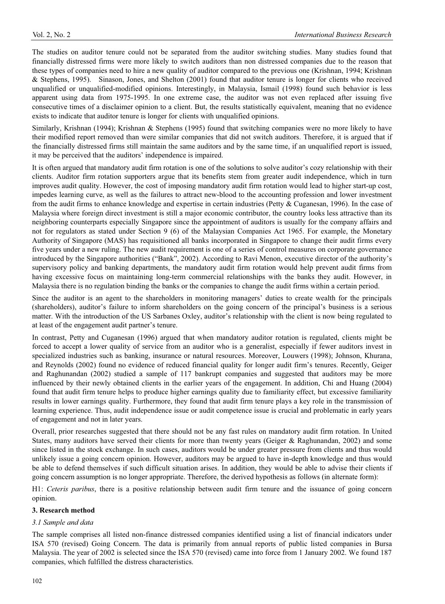The studies on auditor tenure could not be separated from the auditor switching studies. Many studies found that financially distressed firms were more likely to switch auditors than non distressed companies due to the reason that these types of companies need to hire a new quality of auditor compared to the previous one (Krishnan, 1994; Krishnan & Stephens, 1995). Sinason, Jones, and Shelton (2001) found that auditor tenure is longer for clients who received unqualified or unqualified-modified opinions. Interestingly, in Malaysia, Ismail (1998) found such behavior is less apparent using data from 1975-1995. In one extreme case, the auditor was not even replaced after issuing five consecutive times of a disclaimer opinion to a client. But, the results statistically equivalent, meaning that no evidence exists to indicate that auditor tenure is longer for clients with unqualified opinions.

Similarly, Krishnan (1994); Krishnan & Stephens (1995) found that switching companies were no more likely to have their modified report removed than were similar companies that did not switch auditors. Therefore, it is argued that if the financially distressed firms still maintain the same auditors and by the same time, if an unqualified report is issued, it may be perceived that the auditors' independence is impaired.

It is often argued that mandatory audit firm rotation is one of the solutions to solve auditor's cozy relationship with their clients. Auditor firm rotation supporters argue that its benefits stem from greater audit independence, which in turn improves audit quality. However, the cost of imposing mandatory audit firm rotation would lead to higher start-up cost, impedes learning curve, as well as the failures to attract new-blood to the accounting profession and lower investment from the audit firms to enhance knowledge and expertise in certain industries (Petty & Cuganesan, 1996). In the case of Malaysia where foreign direct investment is still a major economic contributor, the country looks less attractive than its neighboring counterparts especially Singapore since the appointment of auditors is usually for the company affairs and not for regulators as stated under Section 9 (6) of the Malaysian Companies Act 1965. For example, the Monetary Authority of Singapore (MAS) has requisitioned all banks incorporated in Singapore to change their audit firms every five years under a new ruling. The new audit requirement is one of a series of control measures on corporate governance introduced by the Singapore authorities ("Bank", 2002). According to Ravi Menon, executive director of the authority's supervisory policy and banking departments, the mandatory audit firm rotation would help prevent audit firms from having excessive focus on maintaining long-term commercial relationships with the banks they audit. However, in Malaysia there is no regulation binding the banks or the companies to change the audit firms within a certain period.

Since the auditor is an agent to the shareholders in monitoring managers' duties to create wealth for the principals (shareholders), auditor's failure to inform shareholders on the going concern of the principal's business is a serious matter. With the introduction of the US Sarbanes Oxley, auditor's relationship with the client is now being regulated to at least of the engagement audit partner's tenure.

In contrast, Petty and Cuganesan (1996) argued that when mandatory auditor rotation is regulated, clients might be forced to accept a lower quality of service from an auditor who is a generalist, especially if fewer auditors invest in specialized industries such as banking, insurance or natural resources. Moreover, Louwers (1998); Johnson, Khurana, and Reynolds (2002) found no evidence of reduced financial quality for longer audit firm's tenures. Recently, Geiger and Raghunandan (2002) studied a sample of 117 bankrupt companies and suggested that auditors may be more influenced by their newly obtained clients in the earlier years of the engagement. In addition, Chi and Huang (2004) found that audit firm tenure helps to produce higher earnings quality due to familiarity effect, but excessive familiarity results in lower earnings quality. Furthermore, they found that audit firm tenure plays a key role in the transmission of learning experience. Thus, audit independence issue or audit competence issue is crucial and problematic in early years of engagement and not in later years.

Overall, prior researches suggested that there should not be any fast rules on mandatory audit firm rotation. In United States, many auditors have served their clients for more than twenty years (Geiger & Raghunandan, 2002) and some since listed in the stock exchange. In such cases, auditors would be under greater pressure from clients and thus would unlikely issue a going concern opinion. However, auditors may be argued to have in-depth knowledge and thus would be able to defend themselves if such difficult situation arises. In addition, they would be able to advise their clients if going concern assumption is no longer appropriate. Therefore, the derived hypothesis as follows (in alternate form):

H1: *Ceteris paribus*, there is a positive relationship between audit firm tenure and the issuance of going concern opinion.

# **3. Research method**

#### *3.1 Sample and data*

The sample comprises all listed non-finance distressed companies identified using a list of financial indicators under ISA 570 (revised) Going Concern. The data is primarily from annual reports of public listed companies in Bursa Malaysia. The year of 2002 is selected since the ISA 570 (revised) came into force from 1 January 2002. We found 187 companies, which fulfilled the distress characteristics.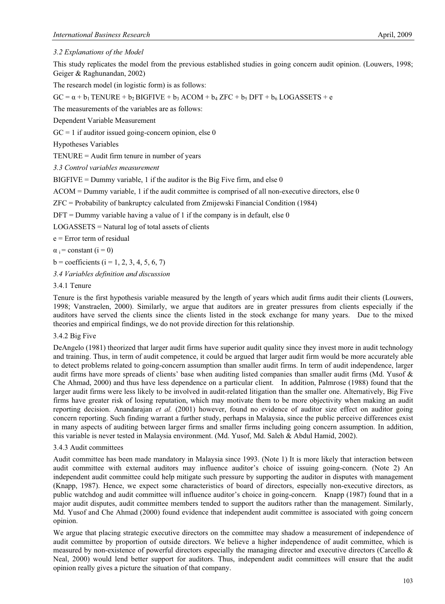# *3.2 Explanations of the Model*

This study replicates the model from the previous established studies in going concern audit opinion. (Louwers, 1998; Geiger & Raghunandan, 2002)

The research model (in logistic form) is as follows:

 $GC = \alpha + b_1$  TENURE +  $b_2$  BIGFIVE +  $b_3$  ACOM +  $b_4$  ZFC +  $b_5$  DFT +  $b_6$  LOGASSETS + e

The measurements of the variables are as follows:

Dependent Variable Measurement

 $GC = 1$  if auditor issued going-concern opinion, else 0

Hypotheses Variables

 $TENURE = \text{Audit firm tenure in number of years}$ 

*3.3 Control variables measurement* 

 $BIGFIVE = Dummy variable, 1$  if the auditor is the Big Five firm, and else 0

 $ACOM =$  Dummy variable, 1 if the audit committee is comprised of all non-executive directors, else 0

ZFC = Probability of bankruptcy calculated from Zmijewski Financial Condition (1984)

 $DFT =$  Dummy variable having a value of 1 if the company is in default, else 0

LOGASSETS = Natural log of total assets of clients

e = Error term of residual

 $\alpha_i$  = constant (i = 0)

 $b =$  coefficients (i = 1, 2, 3, 4, 5, 6, 7)

*3.4 Variables definition and discussion* 

3.4.1 Tenure

Tenure is the first hypothesis variable measured by the length of years which audit firms audit their clients (Louwers, 1998; Vanstraelen, 2000). Similarly, we argue that auditors are in greater pressures from clients especially if the auditors have served the clients since the clients listed in the stock exchange for many years. Due to the mixed theories and empirical findings, we do not provide direction for this relationship.

#### 3.4.2 Big Five

DeAngelo (1981) theorized that larger audit firms have superior audit quality since they invest more in audit technology and training. Thus, in term of audit competence, it could be argued that larger audit firm would be more accurately able to detect problems related to going-concern assumption than smaller audit firms. In term of audit independence, larger audit firms have more spreads of clients' base when auditing listed companies than smaller audit firms (Md. Yusof & Che Ahmad, 2000) and thus have less dependence on a particular client. In addition, Palmrose (1988) found that the larger audit firms were less likely to be involved in audit-related litigation than the smaller one. Alternatively, Big Five firms have greater risk of losing reputation, which may motivate them to be more objectivity when making an audit reporting decision. Anandarajan *et al.* (2001) however, found no evidence of auditor size effect on auditor going concern reporting. Such finding warrant a further study, perhaps in Malaysia, since the public perceive differences exist in many aspects of auditing between larger firms and smaller firms including going concern assumption. In addition, this variable is never tested in Malaysia environment. (Md. Yusof, Md. Saleh & Abdul Hamid, 2002).

#### 3.4.3 Audit committees

Audit committee has been made mandatory in Malaysia since 1993. (Note 1) It is more likely that interaction between audit committee with external auditors may influence auditor's choice of issuing going-concern. (Note 2) An independent audit committee could help mitigate such pressure by supporting the auditor in disputes with management (Knapp, 1987). Hence, we expect some characteristics of board of directors, especially non-executive directors, as public watchdog and audit committee will influence auditor's choice in going-concern. Knapp (1987) found that in a major audit disputes, audit committee members tended to support the auditors rather than the management. Similarly, Md. Yusof and Che Ahmad (2000) found evidence that independent audit committee is associated with going concern opinion.

We argue that placing strategic executive directors on the committee may shadow a measurement of independence of audit committee by proportion of outside directors. We believe a higher independence of audit committee, which is measured by non-existence of powerful directors especially the managing director and executive directors (Carcello & Neal, 2000) would lend better support for auditors. Thus, independent audit committees will ensure that the audit opinion really gives a picture the situation of that company.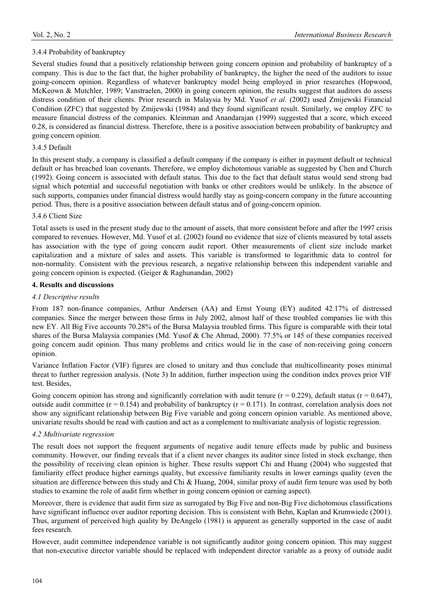# 3.4.4 Probability of bankruptcy

Several studies found that a positively relationship between going concern opinion and probability of bankruptcy of a company. This is due to the fact that, the higher probability of bankruptcy, the higher the need of the auditors to issue going-concern opinion. Regardless of whatever bankruptcy model being employed in prior researches (Hopwood, McKeown & Mutchler, 1989; Vanstraelen, 2000) in going concern opinion, the results suggest that auditors do assess distress condition of their clients. Prior research in Malaysia by Md. Yusof *et al*. (2002) used Zmijewski Financial Condition (ZFC) that suggested by Zmijewski (1984) and they found significant result. Similarly, we employ ZFC to measure financial distress of the companies. Kleinman and Anandarajan (1999) suggested that a score, which exceed 0.28, is considered as financial distress. Therefore, there is a positive association between probability of bankruptcy and going concern opinion.

# 3.4.5 Default

In this present study, a company is classified a default company if the company is either in payment default or technical default or has breached loan covenants. Therefore, we employ dichotomous variable as suggested by Chen and Church (1992). Going concern is associated with default status. This due to the fact that default status would send strong bad signal which potential and successful negotiation with banks or other creditors would be unlikely. In the absence of such supports, companies under financial distress would hardly stay as going-concern company in the future accounting period. Thus, there is a positive association between default status and of going-concern opinion.

# 3.4.6 Client Size

Total assets is used in the present study due to the amount of assets, that more consistent before and after the 1997 crisis compared to revenues. However, Md. Yusof et al. (2002) found no evidence that size of clients measured by total assets has association with the type of going concern audit report. Other measurements of client size include market capitalization and a mixture of sales and assets. This variable is transformed to logarithmic data to control for non-normality. Consistent with the previous research, a negative relationship between this independent variable and going concern opinion is expected. (Geiger & Raghunandan, 2002)

## **4. Results and discussions**

## *4.1 Descriptive results*

From 187 non-finance companies, Arthur Andersen (AA) and Ernst Young (EY) audited 42.17% of distressed companies. Since the merger between those firms in July 2002, almost half of these troubled companies lie with this new EY. All Big Five accounts 70.28% of the Bursa Malaysia troubled firms. This figure is comparable with their total shares of the Bursa Malaysia companies (Md. Yusof & Che Ahmad, 2000). 77.5% or 145 of these companies received going concern audit opinion. Thus many problems and critics would lie in the case of non-receiving going concern opinion.

Variance Inflation Factor (VIF) figures are closed to unitary and thus conclude that multicollinearity poses minimal threat to further regression analysis. (Note 3) In addition, further inspection using the condition index proves prior VIF test. Besides,

Going concern opinion has strong and significantly correlation with audit tenure ( $r = 0.229$ ), default status ( $r = 0.647$ ), outside audit committee  $(r = 0.154)$  and probability of bankruptcy  $(r = 0.171)$ . In contrast, correlation analysis does not show any significant relationship between Big Five variable and going concern opinion variable. As mentioned above, univariate results should be read with caution and act as a complement to multivariate analysis of logistic regression.

#### *4.2 Multivariate regression*

The result does not support the frequent arguments of negative audit tenure effects made by public and business community. However, our finding reveals that if a client never changes its auditor since listed in stock exchange, then the possibility of receiving clean opinion is higher. These results support Chi and Huang (2004) who suggested that familiarity effect produce higher earnings quality, but excessive familiarity results in lower earnings quality (even the situation are difference between this study and Chi & Huang, 2004, similar proxy of audit firm tenure was used by both studies to examine the role of audit firm whether in going concern opinion or earning aspect).

Moreover, there is evidence that audit firm size as surrogated by Big Five and non-Big Five dichotomous classifications have significant influence over auditor reporting decision. This is consistent with Behn, Kaplan and Krumwiede (2001). Thus, argument of perceived high quality by DeAngelo (1981) is apparent as generally supported in the case of audit fees research.

However, audit committee independence variable is not significantly auditor going concern opinion. This may suggest that non-executive director variable should be replaced with independent director variable as a proxy of outside audit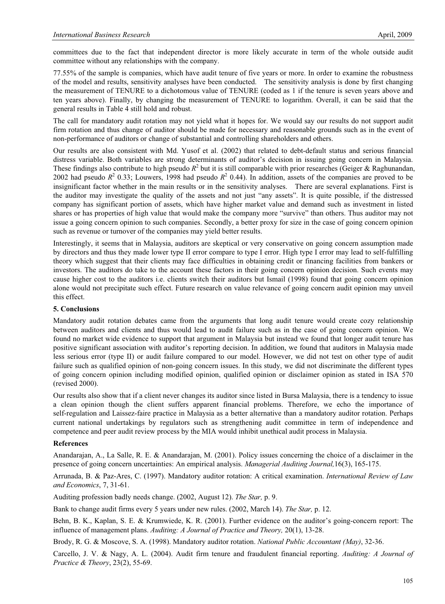committees due to the fact that independent director is more likely accurate in term of the whole outside audit committee without any relationships with the company.

77.55% of the sample is companies, which have audit tenure of five years or more. In order to examine the robustness of the model and results, sensitivity analyses have been conducted. The sensitivity analysis is done by first changing the measurement of TENURE to a dichotomous value of TENURE (coded as 1 if the tenure is seven years above and ten years above). Finally, by changing the measurement of TENURE to logarithm. Overall, it can be said that the general results in Table 4 still hold and robust.

The call for mandatory audit rotation may not yield what it hopes for. We would say our results do not support audit firm rotation and thus change of auditor should be made for necessary and reasonable grounds such as in the event of non-performance of auditors or change of substantial and controlling shareholders and others.

Our results are also consistent with Md. Yusof et al. (2002) that related to debt-default status and serious financial distress variable. Both variables are strong determinants of auditor's decision in issuing going concern in Malaysia. These findings also contribute to high pseudo  $R^2$  but it is still comparable with prior researches (Geiger & Raghunandan, 2002 had pseudo  $R^2$  0.33; Louwers, 1998 had pseudo  $R^2$  0.44). In addition, assets of the companies are proved to be insignificant factor whether in the main results or in the sensitivity analyses. There are several explanations. First is the auditor may investigate the quality of the assets and not just "any assets". It is quite possible, if the distressed company has significant portion of assets, which have higher market value and demand such as investment in listed shares or has properties of high value that would make the company more "survive" than others. Thus auditor may not issue a going concern opinion to such companies. Secondly, a better proxy for size in the case of going concern opinion such as revenue or turnover of the companies may yield better results.

Interestingly, it seems that in Malaysia, auditors are skeptical or very conservative on going concern assumption made by directors and thus they made lower type II error compare to type I error. High type I error may lead to self-fulfilling theory which suggest that their clients may face difficulties in obtaining credit or financing facilities from bankers or investors. The auditors do take to the account these factors in their going concern opinion decision. Such events may cause higher cost to the auditors i.e. clients switch their auditors but Ismail (1998) found that going concern opinion alone would not precipitate such effect. Future research on value relevance of going concern audit opinion may unveil this effect.

#### **5. Conclusions**

Mandatory audit rotation debates came from the arguments that long audit tenure would create cozy relationship between auditors and clients and thus would lead to audit failure such as in the case of going concern opinion. We found no market wide evidence to support that argument in Malaysia but instead we found that longer audit tenure has positive significant association with auditor's reporting decision. In addition, we found that auditors in Malaysia made less serious error (type II) or audit failure compared to our model. However, we did not test on other type of audit failure such as qualified opinion of non-going concern issues. In this study, we did not discriminate the different types of going concern opinion including modified opinion, qualified opinion or disclaimer opinion as stated in ISA 570 (revised 2000).

Our results also show that if a client never changes its auditor since listed in Bursa Malaysia, there is a tendency to issue a clean opinion though the client suffers apparent financial problems. Therefore, we echo the importance of self-regulation and Laissez-faire practice in Malaysia as a better alternative than a mandatory auditor rotation. Perhaps current national undertakings by regulators such as strengthening audit committee in term of independence and competence and peer audit review process by the MIA would inhibit unethical audit process in Malaysia.

#### **References**

Anandarajan, A., La Salle, R. E. & Anandarajan, M. (2001). Policy issues concerning the choice of a disclaimer in the presence of going concern uncertainties: An empirical analysis. *Managerial Auditing Journal,*16(3), 165-175.

Arrunada, B. & Paz-Ares, C. (1997). Mandatory auditor rotation: A critical examination. *International Review of Law and Economics*, 7, 31-61.

Auditing profession badly needs change. (2002, August 12). *The Star,* p. 9.

Bank to change audit firms every 5 years under new rules. (2002, March 14). *The Star,* p. 12.

Behn, B. K., Kaplan, S. E. & Krumwiede, K. R. (2001). Further evidence on the auditor's going-concern report: The influence of management plans. *Auditing: A Journal of Practice and Theory,* 20(1), 13-28.

Brody, R. G. & Moscove, S. A. (1998). Mandatory auditor rotation. *National Public Accountant (May)*, 32-36.

Carcello, J. V. & Nagy, A. L. (2004). Audit firm tenure and fraudulent financial reporting. *Auditing: A Journal of Practice & Theory*, 23(2), 55-69.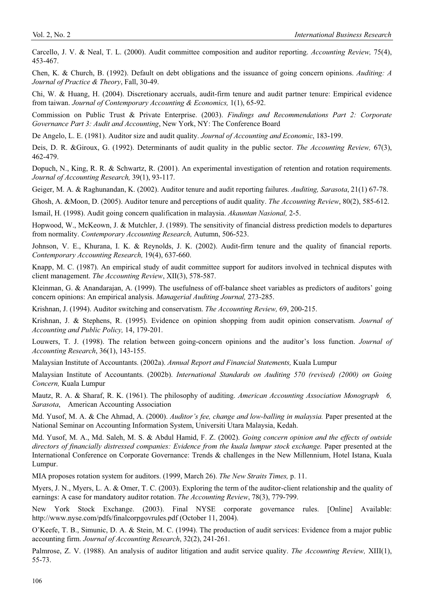Carcello, J. V. & Neal, T. L. (2000). Audit committee composition and auditor reporting. *Accounting Review,* 75(4), 453-467.

Chen, K. & Church, B. (1992). Default on debt obligations and the issuance of going concern opinions. *Auditing: A Journal of Practice & Theory*, Fall, 30-49.

Chi, W. & Huang, H. (2004). Discretionary accruals, audit-firm tenure and audit partner tenure: Empirical evidence from taiwan. *Journal of Contemporary Accounting & Economics,* 1(1), 65-92.

Commission on Public Trust & Private Enterprise. (2003). *Findings and Recommendations Part 2: Corporate Governance Part 3: Audit and Accounting*, New York, NY: The Conference Board

De Angelo, L. E. (1981). Auditor size and audit quality. *Journal of Accounting and Economic*, 183-199.

Deis, D. R. &Giroux, G. (1992). Determinants of audit quality in the public sector. *The Accounting Review,* 67(3), 462-479.

Dopuch, N., King, R. R. & Schwartz, R. (2001). An experimental investigation of retention and rotation requirements. *Journal of Accounting Research,* 39(1), 93-117.

Geiger, M. A. & Raghunandan, K. (2002). Auditor tenure and audit reporting failures. *Auditing, Sarasota*, 21(1) 67-78.

Ghosh, A. &Moon, D. (2005). Auditor tenure and perceptions of audit quality. *The Accounting Review*, 80(2), 585-612.

Ismail, H. (1998). Audit going concern qualification in malaysia. *Akauntan Nasional,* 2-5.

Hopwood, W., McKeown, J. & Mutchler, J. (1989). The sensitivity of financial distress prediction models to departures from normality. *Contemporary Accounting Research,* Autumn, 506-523.

Johnson, V. E., Khurana, I. K. & Reynolds, J. K. (2002). Audit-firm tenure and the quality of financial reports. *Contemporary Accounting Research,* 19(4), 637-660.

Knapp, M. C. (1987). An empirical study of audit committee support for auditors involved in technical disputes with client management. *The Accounting Review*, XII(3), 578-587.

Kleinman, G. & Anandarajan, A. (1999). The usefulness of off-balance sheet variables as predictors of auditors' going concern opinions: An empirical analysis. *Managerial Auditing Journal,* 273-285.

Krishnan, J. (1994). Auditor switching and conservatism. *The Accounting Review,* 69, 200-215.

Krishnan, J. & Stephens, R. (1995). Evidence on opinion shopping from audit opinion conservatism. *Journal of Accounting and Public Policy,* 14, 179-201.

Louwers, T. J. (1998). The relation between going-concern opinions and the auditor's loss function. *Journal of Accounting Research*, 36(1), 143-155.

Malaysian Institute of Accountants. (2002a). *Annual Report and Financial Statements,* Kuala Lumpur

Malaysian Institute of Accountants. (2002b). *International Standards on Auditing 570 (revised) (2000) on Going Concern,* Kuala Lumpur

Mautz, R. A. & Sharaf, R. K. (1961). The philosophy of auditing. *American Accounting Association Monograph 6, Sarasota*, American Accounting Association

Md. Yusof, M. A. & Che Ahmad, A. (2000). *Auditor's fee, change and low-balling in malaysia.* Paper presented at the National Seminar on Accounting Information System, Universiti Utara Malaysia, Kedah.

Md. Yusof, M. A., Md. Saleh, M. S. & Abdul Hamid, F. Z. (2002). *Going concern opinion and the effects of outside directors of financially distressed companies: Evidence from the kuala lumpur stock exchange.* Paper presented at the International Conference on Corporate Governance: Trends & challenges in the New Millennium, Hotel Istana, Kuala Lumpur.

MIA proposes rotation system for auditors. (1999, March 26). *The New Straits Times,* p. 11.

Myers, J. N., Myers, L. A. & Omer, T. C. (2003). Exploring the term of the auditor-client relationship and the quality of earnings: A case for mandatory auditor rotation. *The Accounting Review*, 78(3), 779-799.

New York Stock Exchange. (2003). Final NYSE corporate governance rules. [Online] Available: http://www.nyse.com/pdfs/finalcorpgovrules.pdf (October 11, 2004).

O'Keefe, T. B., Simunic, D. A. & Stein, M. C. (1994). The production of audit services: Evidence from a major public accounting firm. *Journal of Accounting Research*, 32(2), 241-261.

Palmrose, Z. V. (1988). An analysis of auditor litigation and audit service quality. *The Accounting Review,* XIII(1), 55-73.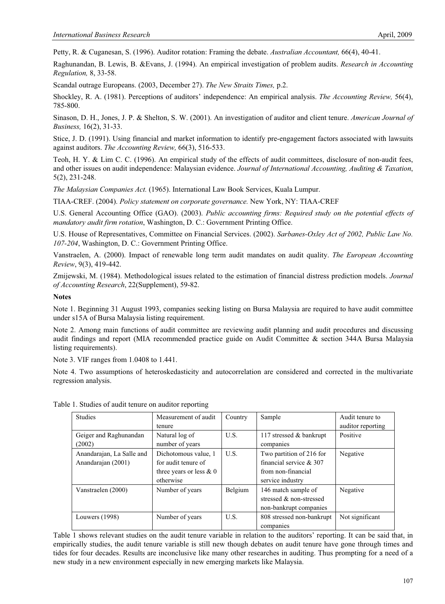Petty, R. & Cuganesan, S. (1996). Auditor rotation: Framing the debate. *Australian Accountant,* 66(4), 40-41.

Raghunandan, B. Lewis, B. &Evans, J. (1994). An empirical investigation of problem audits. *Research in Accounting Regulation,* 8, 33-58.

Scandal outrage Europeans. (2003, December 27). *The New Straits Times,* p.2.

Shockley, R. A. (1981). Perceptions of auditors' independence: An empirical analysis. *The Accounting Review,* 56(4), 785-800.

Sinason, D. H., Jones, J. P. & Shelton, S. W. (2001). An investigation of auditor and client tenure. *American Journal of Business,* 16(2), 31-33.

Stice, J. D. (1991). Using financial and market information to identify pre-engagement factors associated with lawsuits against auditors. *The Accounting Review,* 66(3), 516-533.

Teoh, H. Y. & Lim C. C. (1996). An empirical study of the effects of audit committees, disclosure of non-audit fees, and other issues on audit independence: Malaysian evidence. *Journal of International Accounting, Auditing & Taxation*, 5(2), 231-248.

*The Malaysian Companies Act.* (1965). International Law Book Services, Kuala Lumpur.

TIAA-CREF. (2004). *Policy statement on corporate governance.* New York, NY: TIAA-CREF

U.S. General Accounting Office (GAO). (2003). *Public accounting firms: Required study on the potential effects of mandatory audit firm rotation*, Washington, D. C.: Government Printing Office.

U.S. House of Representatives, Committee on Financial Services. (2002). *Sarbanes-Oxley Act of 2002, Public Law No. 107-204*, Washington, D. C.: Government Printing Office.

Vanstraelen, A. (2000). Impact of renewable long term audit mandates on audit quality. *The European Accounting Review*, 9(3), 419-442.

Zmijewski, M. (1984). Methodological issues related to the estimation of financial distress prediction models. *Journal of Accounting Research*, 22(Supplement), 59-82.

**Notes** 

Note 1. Beginning 31 August 1993, companies seeking listing on Bursa Malaysia are required to have audit committee under s15A of Bursa Malaysia listing requirement.

Note 2. Among main functions of audit committee are reviewing audit planning and audit procedures and discussing audit findings and report (MIA recommended practice guide on Audit Committee & section 344A Bursa Malaysia listing requirements).

Note 3. VIF ranges from 1.0408 to 1.441.

Note 4. Two assumptions of heteroskedasticity and autocorrelation are considered and corrected in the multivariate regression analysis.

| <b>Studies</b>            | Measurement of audit      | Country | Sample                     | Audit tenure to   |
|---------------------------|---------------------------|---------|----------------------------|-------------------|
|                           | tenure                    |         |                            | auditor reporting |
| Geiger and Raghunandan    | Natural log of            | U.S.    | 117 stressed & bankrupt    | Positive          |
| (2002)                    | number of years           |         | companies                  |                   |
| Anandarajan, La Salle and | Dichotomous value, 1      | U.S.    | Two partition of 216 for   | Negative          |
| Anandarajan (2001)        | for audit tenure of       |         | financial service $& 307$  |                   |
|                           | three years or less $& 0$ |         | from non-financial         |                   |
|                           | otherwise                 |         | service industry           |                   |
| Vanstraelen (2000)        | Number of years           | Belgium | 146 match sample of        | Negative          |
|                           |                           |         | stressed $\&$ non-stressed |                   |
|                           |                           |         | non-bankrupt companies     |                   |
| Louwers $(1998)$          | Number of years           | U.S.    | 808 stressed non-bankrupt  | Not significant   |
|                           |                           |         | companies                  |                   |

Table 1. Studies of audit tenure on auditor reporting

Table 1 shows relevant studies on the audit tenure variable in relation to the auditors' reporting. It can be said that, in empirically studies, the audit tenure variable is still new though debates on audit tenure have gone through times and tides for four decades. Results are inconclusive like many other researches in auditing. Thus prompting for a need of a new study in a new environment especially in new emerging markets like Malaysia.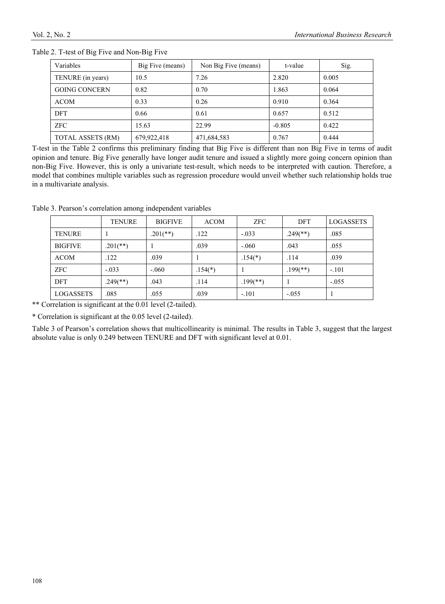| Variables            | Big Five (means) | Non Big Five (means) | t-value  | Sig.  |
|----------------------|------------------|----------------------|----------|-------|
| TENURE (in years)    | 10.5             | 7.26                 | 2.820    | 0.005 |
| <b>GOING CONCERN</b> | 0.82             | 0.70                 | 1.863    | 0.064 |
| <b>ACOM</b>          | 0.33             | 0.26                 | 0.910    | 0.364 |
| <b>DFT</b>           | 0.66             | 0.61                 | 0.657    | 0.512 |
| <b>ZFC</b>           | 15.63            | 22.99                | $-0.805$ | 0.422 |
| TOTAL ASSETS (RM)    | 679,922,418      | 471,684,583          | 0.767    | 0.444 |

Table 2. T-test of Big Five and Non-Big Five

T-test in the Table 2 confirms this preliminary finding that Big Five is different than non Big Five in terms of audit opinion and tenure. Big Five generally have longer audit tenure and issued a slightly more going concern opinion than non-Big Five. However, this is only a univariate test-result, which needs to be interpreted with caution. Therefore, a model that combines multiple variables such as regression procedure would unveil whether such relationship holds true in a multivariate analysis.

Table 3. Pearson's correlation among independent variables

|                | <b>TENURE</b> | <b>BIGFIVE</b> | <b>ACOM</b> | ZFC         | DFT                      | <b>LOGASSETS</b> |
|----------------|---------------|----------------|-------------|-------------|--------------------------|------------------|
| <b>TENURE</b>  |               | $.201$ (**)    | .122        | $-.033$     | $.249$ <sup>(**)</sup> ) | .085             |
| <b>BIGFIVE</b> | $.201$ (**)   |                | .039        | $-.060$     | .043                     | .055             |
| <b>ACOM</b>    | .122          | .039           |             | $.154(*)$   | .114                     | .039             |
| <b>ZFC</b>     | $-.033$       | $-.060$        | $.154(*)$   |             | $.199$ (**)              | $-.101$          |
| DFT            | $.249$ (**)   | .043           | .114        | $.199$ (**) |                          | $-.055$          |
| LOGASSETS      | .085          | .055           | .039        | $-.101$     | $-.055$                  |                  |

\*\* Correlation is significant at the 0.01 level (2-tailed).

\* Correlation is significant at the 0.05 level (2-tailed).

Table 3 of Pearson's correlation shows that multicollinearity is minimal. The results in Table 3, suggest that the largest absolute value is only 0.249 between TENURE and DFT with significant level at 0.01.